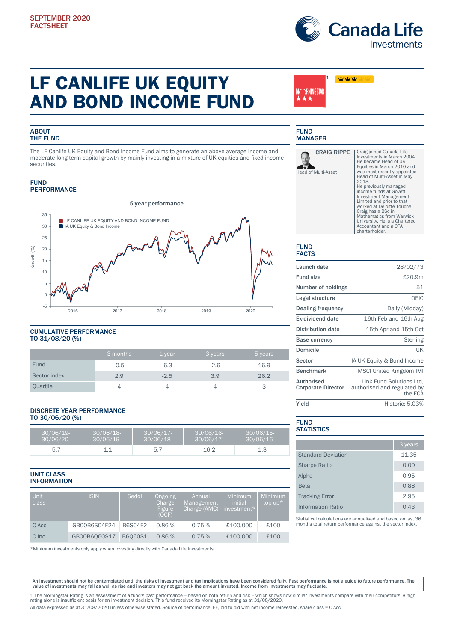

www

# LF CANLIFE UK EQUITY AND BOND INCOME FUND

# **ABOUT** THE FUND

The LF Canlife UK Equity and Bond Income Fund aims to generate an above-average income and moderate long-term capital growth by mainly investing in a mixture of UK equities and fixed income securities.

## FUND **PERFORMANCE**



## CUMULATIVE PERFORMANCE TO 31/08/20 (%)

|              | 3 months | 1 year | 3 years | 5 years |
|--------------|----------|--------|---------|---------|
| Fund         | $-0.5$   | $-6.3$ | $-2.6$  | 16.9    |
| Sector index | 2.9      | $-2.5$ | 3.9     | 26.2    |
| Quartile     |          |        | 4       | చ       |

## DISCRETE YEAR PERFORMANCE TO 30/06/20 (%)

| 30/06/19<br>30/06/20 | 30/06/18<br>30/06/19 | 30/06/17-<br>30/06/18 | 30/06/16-<br>30/06/17 | $30/06/15$ -<br>30/06/16 |
|----------------------|----------------------|-----------------------|-----------------------|--------------------------|
| -5. .                | - 1                  | 片<br>، ب              | 16.2                  | ں ـ                      |

# UNIT CLASS INFORMATION

| Unit<br><b>class</b> | <b>ISIN</b>  | Sedol          | <b>Ongoing</b><br>Charge<br>Figure<br>(OCF) | Annual<br>Management<br>Charge (AMC) | Minimum<br>initial<br>investment* | Minimum<br>top $up^*$ |
|----------------------|--------------|----------------|---------------------------------------------|--------------------------------------|-----------------------------------|-----------------------|
| C Acc                | GB00B6SC4F24 | B6SC4F2        | 0.86%                                       | 0.75%                                | £100,000                          | £100                  |
| C Inc                | GB00B6060S17 | <b>B6060S1</b> | 0.86%                                       | 0.75%                                | £100,000                          | £100                  |

\*Minimum investments only apply when investing directly with Canada Life Investments

# FUND MANAGER

MCRNINGSTAR \*\*\*



1

Craig joined Canada Life Investments in March 2004. He became Head of UK Equities in March 2010 and was most recently appointed Head of Multi-Asset in May 2018. He previously managed income funds at Govett Investment Management Limited and prior to that worked at Deloitte Touche. Craig has a BSc in Mathematics from Warwick University. He is a Chartered Accountant and a CFA charterholder.

#### FUND FACTS

| Launch date                                    | 28/02/73                                                           |
|------------------------------------------------|--------------------------------------------------------------------|
| <b>Fund size</b>                               | £20.9m                                                             |
| Number of holdings                             | 51                                                                 |
| Legal structure                                | OEIC                                                               |
| <b>Dealing frequency</b>                       | Daily (Midday)                                                     |
| Ex-dividend date                               | 16th Feb and 16th Aug                                              |
| <b>Distribution date</b>                       | 15th Apr and 15th Oct                                              |
| <b>Base currency</b>                           | Sterling                                                           |
| Domicile                                       | UK                                                                 |
| Sector                                         | IA UK Equity & Bond Income                                         |
| <b>Benchmark</b>                               | <b>MSCI United Kingdom IMI</b>                                     |
| <b>Authorised</b><br><b>Corporate Director</b> | Link Fund Solutions Ltd.<br>authorised and regulated by<br>the FCA |
| Yield                                          | Historic: 5.03%                                                    |
|                                                |                                                                    |

### FUND **STATISTICS**

|                           | 3 years |
|---------------------------|---------|
| <b>Standard Deviation</b> | 11.35   |
| <b>Sharpe Ratio</b>       | 0.00    |
| Alpha                     | 0.95    |
| <b>Beta</b>               | 0.88    |
| <b>Tracking Error</b>     | 2.95    |
| Information Ratio         | 0.43    |

Statistical calculations are annualised and based on last 36 months total return performance against the sector index.

An investment should not be contemplated until the risks of investment and tax implications have been considered fully. Past performance is not a guide to future performance. The<br>value of investments may fall as well as ri

1 The Morningstar Rating is an assessment of a fund's past performance – based on both return and risk – which shows how similar investments compare with their competitors. A high<br>rating alone is insufficient basis for an All data expressed as at 31/08/2020 unless otherwise stated. Source of performance: FE, bid to bid with net income reinvested, share class = C Acc.